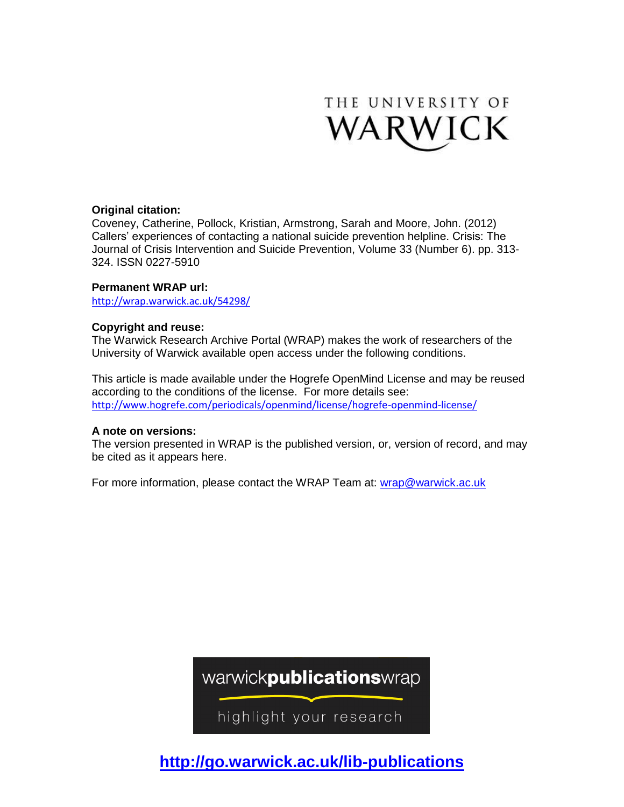

### **Original citation:**

Coveney, Catherine, Pollock, Kristian, Armstrong, Sarah and Moore, John. (2012) Callers' experiences of contacting a national suicide prevention helpline. Crisis: The Journal of Crisis Intervention and Suicide Prevention, Volume 33 (Number 6). pp. 313- 324. ISSN 0227-5910

#### **Permanent WRAP url:**

<http://wrap.warwick.ac.uk/54298/>

#### **Copyright and reuse:**

The Warwick Research Archive Portal (WRAP) makes the work of researchers of the University of Warwick available open access under the following conditions.

This article is made available under the Hogrefe OpenMind License and may be reused according to the conditions of the license. For more details see: <http://www.hogrefe.com/periodicals/openmind/license/hogrefe-openmind-license/>

#### **A note on versions:**

The version presented in WRAP is the published version, or, version of record, and may be cited as it appears here.

For more information, please contact the WRAP Team at: [wrap@warwick.ac.uk](mailto:wrap@warwick.ac.uk)

warwickpublicationswrap

highlight your research

**http://go.warwick.ac.uk/lib-publications**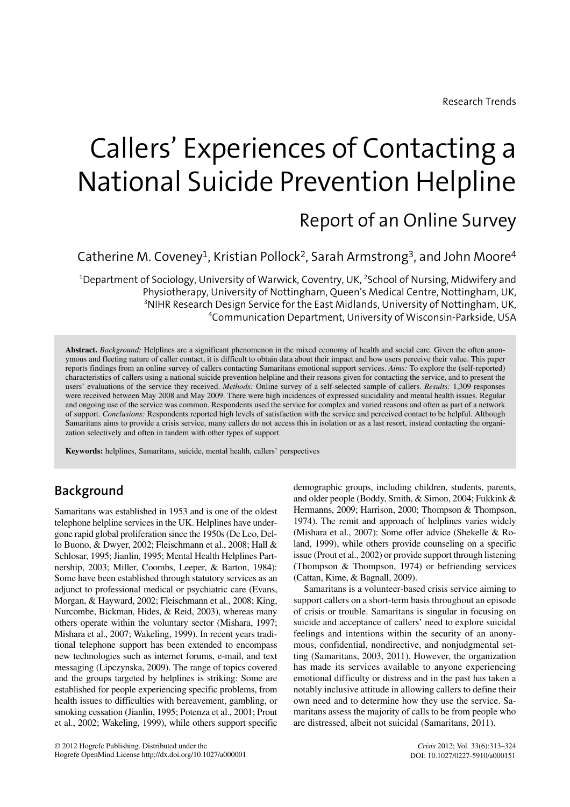# Callers' Experiences of Contacting a National Suicide Prevention Helpline

# Report of an Online Survey

Catherine M. Coveney<sup>1</sup>, Kristian Pollock<sup>2</sup>, Sarah Armstrong<sup>3</sup>, and John Moore<sup>4</sup>

 $^{\rm 1}$ Department of Sociology, University of Warwick, Coventry, UK,  $^{\rm 2}$ School of Nursing, Midwifery and Physiotherapy, University of Nottingham, Queen's Medical Centre, Nottingham, UK,  ${}^{3}$ NIHR Research Design Service for the East Midlands, University of Nottingham, UK, 4 Communication Department, University of Wisconsin-Parkside, USA

**Abstract.** *Background:* Helplines are a significant phenomenon in the mixed economy of health and social care. Given the often anonymous and fleeting nature of caller contact, it is difficult to obtain data about their impact and how users perceive their value. This paper reports findings from an online survey of callers contacting Samaritans emotional support services. *Aims:* To explore the (self-reported) characteristics of callers using a national suicide prevention helpline and their reasons given for contacting the service, and to present the users' evaluations of the service they received. *Methods:* Online survey of a self-selected sample of callers. *Results:* 1,309 responses were received between May 2008 and May 2009. There were high incidences of expressed suicidality and mental health issues. Regular and ongoing use of the service was common. Respondents used the service for complex and varied reasons and often as part of a network of support. *Conclusions:* Respondents reported high levels of satisfaction with the service and perceived contact to be helpful. Although Samaritans aims to provide a crisis service, many callers do not access this in isolation or as a last resort, instead contacting the organization selectively and often in tandem with other types of support.

**Keywords:** helplines, Samaritans, suicide, mental health, callers' perspectives

# **Background**

Samaritans was established in 1953 and is one of the oldest telephone helpline services in the UK. Helplines have undergone rapid global proliferation since the 1950s (De Leo, Dello Buono, & Dwyer, 2002; Fleischmann et al., 2008; Hall & Schlosar, 1995; Jianlin, 1995; Mental Health Helplines Partnership, 2003; Miller, Coombs, Leeper, & Barton, 1984): Some have been established through statutory services as an adjunct to professional medical or psychiatric care (Evans, Morgan, & Hayward, 2002; Fleischmann et al., 2008; King, Nurcombe, Bickman, Hides, & Reid, 2003), whereas many others operate within the voluntary sector (Mishara, 1997; Mishara et al., 2007; Wakeling, 1999). In recent years traditional telephone support has been extended to encompass new technologies such as internet forums, e-mail, and text messaging (Lipczynska, 2009). The range of topics covered and the groups targeted by helplines is striking: Some are established for people experiencing specific problems, from health issues to difficulties with bereavement, gambling, or smoking cessation (Jianlin, 1995; Potenza et al., 2001; Prout et al., 2002; Wakeling, 1999), while others support specific

demographic groups, including children, students, parents, and older people (Boddy, Smith, & Simon, 2004; Fukkink & Hermanns, 2009; Harrison, 2000; Thompson & Thompson, 1974). The remit and approach of helplines varies widely (Mishara et al., 2007): Some offer advice (Shekelle & Roland, 1999), while others provide counseling on a specific issue (Prout et al., 2002) or provide support through listening (Thompson & Thompson, 1974) or befriending services (Cattan, Kime, & Bagnall, 2009).

Samaritans is a volunteer-based crisis service aiming to support callers on a short-term basis throughout an episode of crisis or trouble. Samaritans is singular in focusing on suicide and acceptance of callers' need to explore suicidal feelings and intentions within the security of an anonymous, confidential, nondirective, and nonjudgmental setting (Samaritans, 2003, 2011). However, the organization has made its services available to anyone experiencing emotional difficulty or distress and in the past has taken a notably inclusive attitude in allowing callers to define their own need and to determine how they use the service. Samaritans assess the majority of calls to be from people who are distressed, albeit not suicidal (Samaritans, 2011).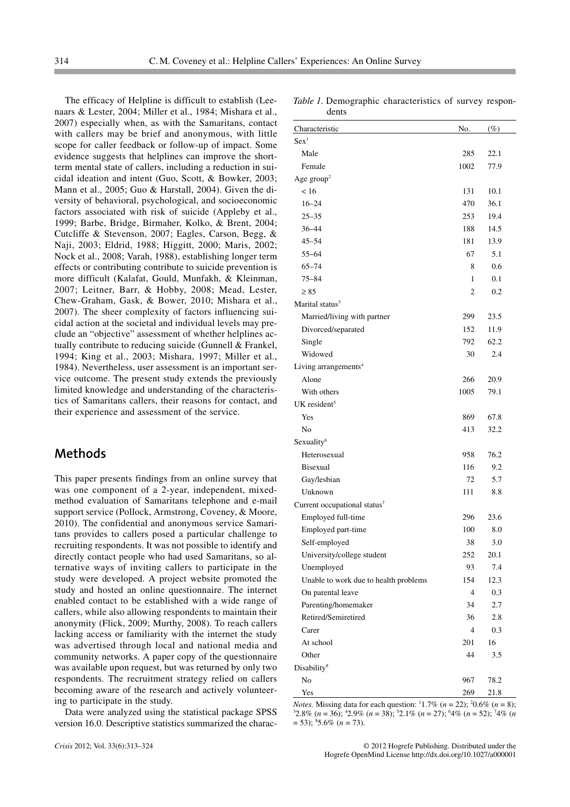The efficacy of Helpline is difficult to establish (Leenaars & Lester, 2004; Miller et al., 1984; Mishara et al., 2007) especially when, as with the Samaritans, contact with callers may be brief and anonymous, with little scope for caller feedback or follow-up of impact. Some evidence suggests that helplines can improve the shortterm mental state of callers, including a reduction in suicidal ideation and intent (Guo, Scott, & Bowker, 2003; Mann et al., 2005; Guo & Harstall, 2004). Given the diversity of behavioral, psychological, and socioeconomic factors associated with risk of suicide (Appleby et al., 1999; Barbe, Bridge, Birmaher, Kolko, & Brent, 2004; Cutcliffe & Stevenson, 2007; Eagles, Carson, Begg, & Naji, 2003; Eldrid, 1988; Higgitt, 2000; Maris, 2002; Nock et al., 2008; Varah, 1988), establishing longer term effects or contributing contribute to suicide prevention is more difficult (Kalafat, Gould, Munfakh, & Kleinman, 2007; Leitner, Barr, & Hobby, 2008; Mead, Lester, Chew-Graham, Gask, & Bower, 2010; Mishara et al., 2007). The sheer complexity of factors influencing suicidal action at the societal and individual levels may preclude an "objective" assessment of whether helplines actually contribute to reducing suicide (Gunnell & Frankel, 1994; King et al., 2003; Mishara, 1997; Miller et al., 1984). Nevertheless, user assessment is an important service outcome. The present study extends the previously limited knowledge and understanding of the characteristics of Samaritans callers, their reasons for contact, and their experience and assessment of the service.

# **Methods**

This paper presents findings from an online survey that was one component of a 2-year, independent, mixedmethod evaluation of Samaritans telephone and e-mail support service (Pollock, Armstrong, Coveney, & Moore, 2010). The confidential and anonymous service Samaritans provides to callers posed a particular challenge to recruiting respondents. It was not possible to identify and directly contact people who had used Samaritans, so alternative ways of inviting callers to participate in the study were developed. A project website promoted the study and hosted an online questionnaire. The internet enabled contact to be established with a wide range of callers, while also allowing respondents to maintain their anonymity (Flick, 2009; Murthy, 2008). To reach callers lacking access or familiarity with the internet the study was advertised through local and national media and community networks. A paper copy of the questionnaire was available upon request, but was returned by only two respondents. The recruitment strategy relied on callers becoming aware of the research and actively volunteering to participate in the study.

Data were analyzed using the statistical package SPSS version 16.0. Descriptive statistics summarized the charac-

| Table 1. Demographic characteristics of survey respon- |  |  |
|--------------------------------------------------------|--|--|
| dents                                                  |  |  |

| Characteristic                           | No.            | $(\%)$ |
|------------------------------------------|----------------|--------|
| Sex <sup>1</sup>                         |                |        |
| Male                                     | 285            | 22.1   |
| Female                                   | 1002           | 77.9   |
| Age $group2$                             |                |        |
| < 16                                     | 131            | 10.1   |
| $16 - 24$                                | 470            | 36.1   |
| $25 - 35$                                | 253            | 19.4   |
| 36-44                                    | 188            | 14.5   |
| $45 - 54$                                | 181            | 13.9   |
| $55 - 64$                                | 67             | 5.1    |
| $65 - 74$                                | 8              | 0.6    |
| $75 - 84$                                | 1              | 0.1    |
| $\geq 85$                                | 2              | 0.2    |
| Marital status <sup>3</sup>              |                |        |
| Married/living with partner              | 299            | 23.5   |
| Divorced/separated                       | 152            | 11.9   |
| Single                                   | 792            | 62.2   |
| Widowed                                  | 30             | 2.4    |
| Living arrangements <sup>4</sup>         |                |        |
| Alone                                    | 266            | 20.9   |
| With others                              | 1005           | 79.1   |
| UK resident $5$                          |                |        |
| Yes                                      | 869            | 67.8   |
| No                                       | 413            | 32.2   |
| Sexuality <sup>6</sup>                   |                |        |
| Heterosexual                             | 958            | 76.2   |
| <b>Bisexual</b>                          | 116            | 9.2    |
| Gay/lesbian                              | 72             | 5.7    |
| Unknown                                  | 111            | 8.8    |
| Current occupational status <sup>7</sup> |                |        |
| Employed full-time                       | 296            | 23.6   |
| Employed part-time                       | 100            | 8.0    |
| Self-employed                            | 38             | 3.0    |
| University/college student               | 252            | 20.1   |
| Unemployed                               | 93             | 7.4    |
| Unable to work due to health problems    | 154            | 12.3   |
| On parental leave                        | $\overline{4}$ | 0.3    |
| Parenting/homemaker                      | 34             | 2.7    |
| Retired/Semiretired                      | 36             | 2.8    |
| Carer                                    | $\overline{4}$ | 0.3    |
| At school                                | 201            | 16     |
| Other                                    | 44             | 3.5    |
| Disability <sup>8</sup>                  |                |        |
| No                                       | 967            | 78.2   |
| Yes                                      | 269            | 21.8   |

*Notes*. Missing data for each question:  $11.7\%$  (*n* = 22);  $20.6\%$  (*n* = 8);  $32.8\%$  (*n* = 36);  $42.9\%$  (*n* = 38);  $52.1\%$  (*n* = 27);  $44\%$  (*n* = 52);  $74\%$  (*n* = 53); <sup>8</sup> 5.6% (*n* = 73).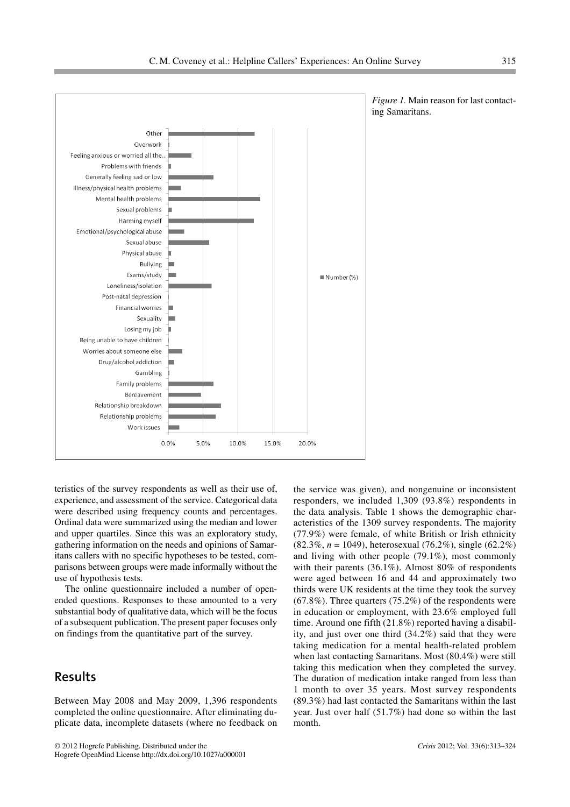teristics of the survey respondents as well as their use of, experience, and assessment of the service. Categorical data were described using frequency counts and percentages. Ordinal data were summarized using the median and lower and upper quartiles. Since this was an exploratory study, gathering information on the needs and opinions of Samaritans callers with no specific hypotheses to be tested, comparisons between groups were made informally without the use of hypothesis tests.

The online questionnaire included a number of openended questions. Responses to these amounted to a very substantial body of qualitative data, which will be the focus of a subsequent publication. The present paper focuses only on findings from the quantitative part of the survey.

# **Results**

Between May 2008 and May 2009, 1,396 respondents completed the online questionnaire. After eliminating duplicate data, incomplete datasets (where no feedback on the service was given), and nongenuine or inconsistent responders, we included 1,309 (93.8%) respondents in the data analysis. Table 1 shows the demographic characteristics of the 1309 survey respondents. The majority (77.9%) were female, of white British or Irish ethnicity (82.3%, *n* = 1049), heterosexual (76.2%), single (62.2%) and living with other people (79.1%), most commonly with their parents (36.1%). Almost 80% of respondents were aged between 16 and 44 and approximately two thirds were UK residents at the time they took the survey  $(67.8\%)$ . Three quarters  $(75.2\%)$  of the respondents were in education or employment, with 23.6% employed full time. Around one fifth (21.8%) reported having a disability, and just over one third (34.2%) said that they were taking medication for a mental health-related problem when last contacting Samaritans. Most (80.4%) were still taking this medication when they completed the survey. The duration of medication intake ranged from less than 1 month to over 35 years. Most survey respondents (89.3%) had last contacted the Samaritans within the last year. Just over half (51.7%) had done so within the last month.



*Figure 1.* Main reason for last contacting Samaritans.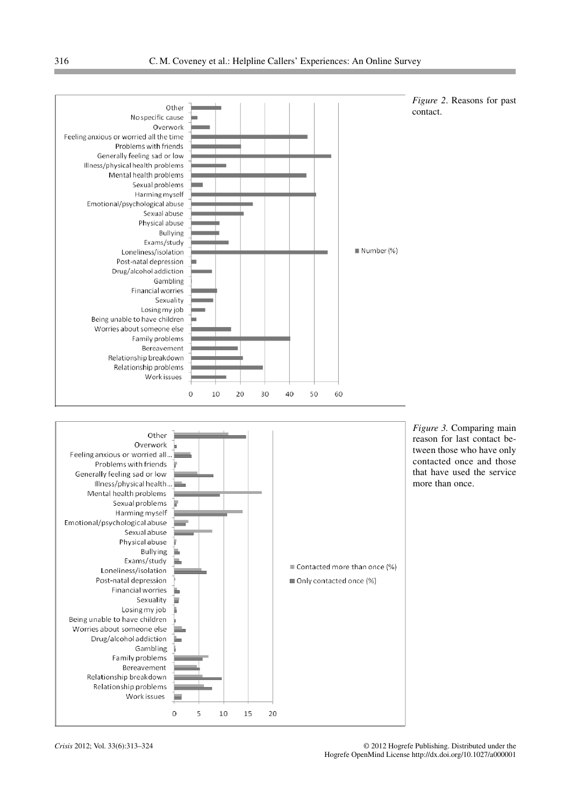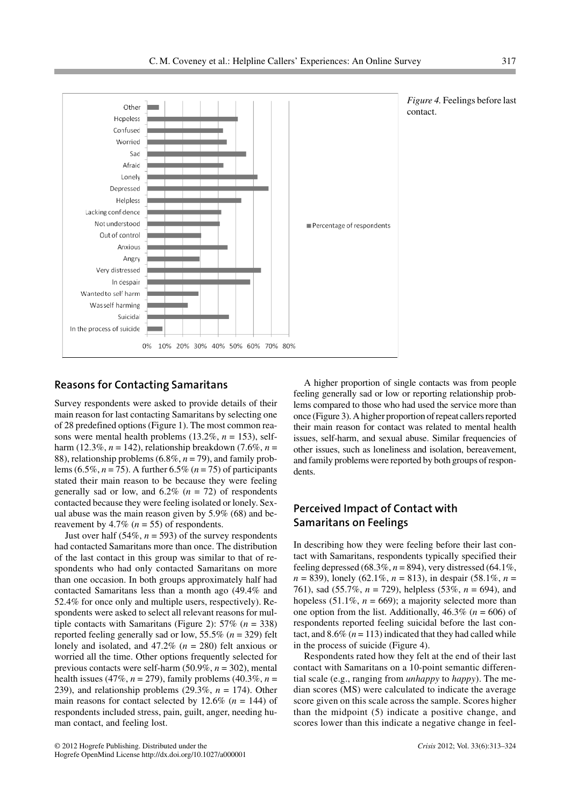



#### **Reasons for Contacting Samaritans**

Survey respondents were asked to provide details of their main reason for last contacting Samaritans by selecting one of 28 predefined options (Figure 1). The most common reasons were mental health problems  $(13.2\%, n = 153)$ , selfharm (12.3%,  $n = 142$ ), relationship breakdown (7.6%,  $n =$ 88), relationship problems (6.8%, *n* = 79), and family problems (6.5%, *n* = 75). A further 6.5% (*n* = 75) of participants stated their main reason to be because they were feeling generally sad or low, and  $6.2\%$  ( $n = 72$ ) of respondents contacted because they were feeling isolated or lonely. Sexual abuse was the main reason given by 5.9% (68) and bereavement by  $4.7\%$  ( $n = 55$ ) of respondents.

Just over half  $(54\%, n = 593)$  of the survey respondents had contacted Samaritans more than once. The distribution of the last contact in this group was similar to that of respondents who had only contacted Samaritans on more than one occasion. In both groups approximately half had contacted Samaritans less than a month ago (49.4% and 52.4% for once only and multiple users, respectively). Respondents were asked to select all relevant reasons for multiple contacts with Samaritans (Figure 2): 57% (*n* = 338) reported feeling generally sad or low, 55.5% (*n* = 329) felt lonely and isolated, and 47.2% (*n* = 280) felt anxious or worried all the time. Other options frequently selected for previous contacts were self-harm (50.9%, *n* = 302), mental health issues (47%, *n* = 279), family problems (40.3%, *n* = 239), and relationship problems (29.3%, *n* = 174). Other main reasons for contact selected by  $12.6\%$  ( $n = 144$ ) of respondents included stress, pain, guilt, anger, needing human contact, and feeling lost.

A higher proportion of single contacts was from people feeling generally sad or low or reporting relationship problems compared to those who had used the service more than once (Figure 3). A higher proportion of repeat callers reported their main reason for contact was related to mental health issues, self-harm, and sexual abuse. Similar frequencies of other issues, such as loneliness and isolation, bereavement, and family problems were reported by both groups of respondents.

## **Perceived Impact of Contact with Samaritans on Feelings**

In describing how they were feeling before their last contact with Samaritans, respondents typically specified their feeling depressed (68.3%,  $n = 894$ ), very distressed (64.1%, *n* = 839), lonely (62.1%, *n* = 813), in despair (58.1%, *n* = 761), sad (55.7%, *n* = 729), helpless (53%, *n* = 694), and hopeless  $(51.1\%, n = 669)$ ; a majority selected more than one option from the list. Additionally,  $46.3\%$  ( $n = 606$ ) of respondents reported feeling suicidal before the last contact, and  $8.6\%$  ( $n = 113$ ) indicated that they had called while in the process of suicide (Figure 4).

Respondents rated how they felt at the end of their last contact with Samaritans on a 10-point semantic differential scale (e.g., ranging from *unhappy* to *happy*). The median scores (MS) were calculated to indicate the average score given on this scale across the sample. Scores higher than the midpoint (5) indicate a positive change, and scores lower than this indicate a negative change in feel-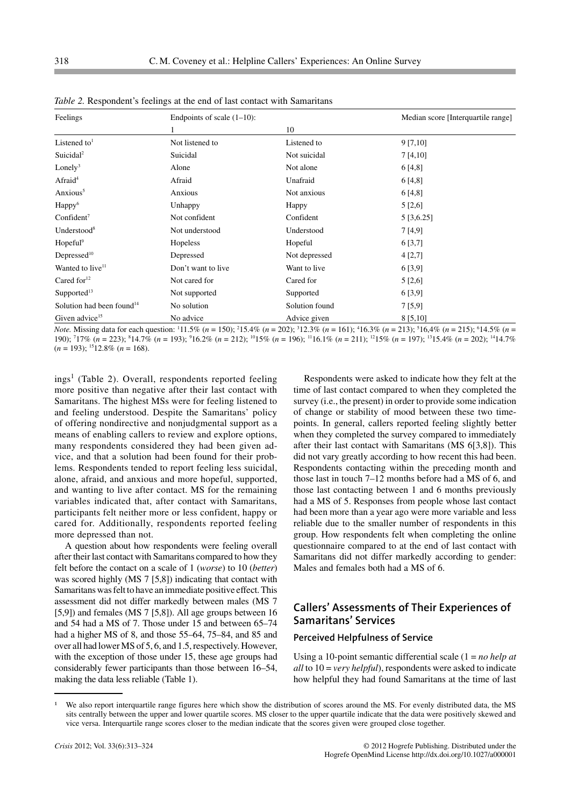| Feelings                              | Endpoints of scale $(1-10)$ : |                |            |  |
|---------------------------------------|-------------------------------|----------------|------------|--|
|                                       |                               | 10             |            |  |
| Listened to <sup>1</sup>              | Not listened to               | Listened to    | 9 [7, 10]  |  |
| Suicidal <sup>2</sup>                 | Suicidal                      | Not suicidal   | 7 [4,10]   |  |
| Lonely <sup>3</sup>                   | Alone                         | Not alone      | 6 [4,8]    |  |
| Afraid <sup>4</sup>                   | Afraid                        | Unafraid       | 6 [4,8]    |  |
| Anxious <sup>5</sup>                  | Anxious                       | Not anxious    | 6 [4,8]    |  |
| Happy <sup>6</sup>                    | Unhappy                       | Happy          | 5 [2,6]    |  |
| Confident $7$                         | Not confident                 | Confident      | 5 [3,6.25] |  |
| Understood <sup>8</sup>               | Not understood                | Understood     | 7 [4,9]    |  |
| $H$ opeful <sup>9</sup>               | Hopeless                      | Hopeful        | 6 [3,7]    |  |
| Depressed <sup>10</sup>               | Depressed                     | Not depressed  | 4 [2,7]    |  |
| Wanted to live <sup>11</sup>          | Don't want to live            | Want to live   | 6 [3,9]    |  |
| Cared for $12$                        | Not cared for                 | Cared for      | 5 [2,6]    |  |
| Supported <sup>13</sup>               | Not supported                 | Supported      | 6 [3,9]    |  |
| Solution had been found <sup>14</sup> | No solution                   | Solution found | 7[5,9]     |  |
| Given advice <sup>15</sup>            | No advice                     | Advice given   | 8 [5,10]   |  |

*Table 2.* Respondent's feelings at the end of last contact with Samaritans

*Note.* Missing data for each question:  $11.5\%$  (*n* = 150);  $215.4\%$  (*n* = 202);  $312.3\%$  (*n* = 161);  $416.3\%$  (*n* = 213);  $516.4\%$  (*n* = 215);  $614.5\%$  (*n* = 190); <sup>7</sup> 17% (*n* = 223); <sup>8</sup> 14.7% (*n* = 193); <sup>9</sup> 16.2% (*n* = 212); 1015% (*n* = 196); 1116.1% (*n* = 211); 1215% (*n* = 197); 1315.4% (*n* = 202); 1414.7%  $(n = 193);$ <sup>15</sup>12.8%  $(n = 168).$ 

 $ings<sup>1</sup>$  (Table 2). Overall, respondents reported feeling more positive than negative after their last contact with Samaritans. The highest MSs were for feeling listened to and feeling understood. Despite the Samaritans' policy of offering nondirective and nonjudgmental support as a means of enabling callers to review and explore options, many respondents considered they had been given advice, and that a solution had been found for their problems. Respondents tended to report feeling less suicidal, alone, afraid, and anxious and more hopeful, supported, and wanting to live after contact. MS for the remaining variables indicated that, after contact with Samaritans, participants felt neither more or less confident, happy or cared for. Additionally, respondents reported feeling more depressed than not.

A question about how respondents were feeling overall after their last contact with Samaritans compared to how they felt before the contact on a scale of 1 (*worse*) to 10 (*better*) was scored highly (MS 7 [5,8]) indicating that contact with Samaritans was felt to have an immediate positive effect. This assessment did not differ markedly between males (MS 7 [5,9]) and females (MS 7 [5,8]). All age groups between 16 and 54 had a MS of 7. Those under 15 and between 65–74 had a higher MS of 8, and those 55–64, 75–84, and 85 and over all had lower MS of 5, 6, and 1.5, respectively. However, with the exception of those under 15, these age groups had considerably fewer participants than those between 16–54, making the data less reliable (Table 1).

Respondents were asked to indicate how they felt at the time of last contact compared to when they completed the survey (i.e., the present) in order to provide some indication of change or stability of mood between these two timepoints. In general, callers reported feeling slightly better when they completed the survey compared to immediately after their last contact with Samaritans (MS 6[3,8]). This did not vary greatly according to how recent this had been. Respondents contacting within the preceding month and those last in touch 7–12 months before had a MS of 6, and those last contacting between 1 and 6 months previously had a MS of 5. Responses from people whose last contact had been more than a year ago were more variable and less reliable due to the smaller number of respondents in this group. How respondents felt when completing the online questionnaire compared to at the end of last contact with Samaritans did not differ markedly according to gender: Males and females both had a MS of 6.

## **Callers' Assessments of Their Experiences of Samaritans' Services**

#### **Perceived Helpfulness of Service**

Using a 10-point semantic differential scale (1 = *no help at all* to 10 = *very helpful*), respondents were asked to indicate how helpful they had found Samaritans at the time of last

<sup>-</sup> We also report interquartile range figures here which show the distribution of scores around the MS. For evenly distributed data, the MS sits centrally between the upper and lower quartile scores. MS closer to the upper quartile indicate that the data were positively skewed and vice versa. Interquartile range scores closer to the median indicate that the scores given were grouped close together.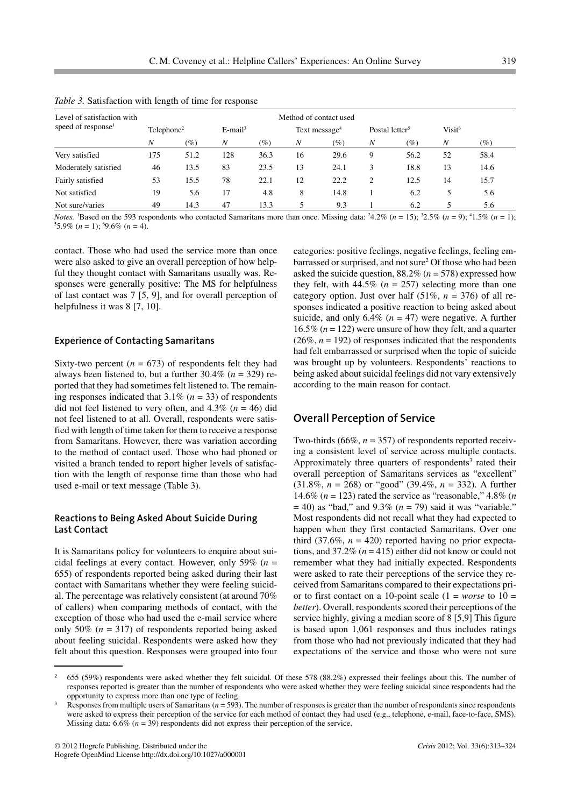| Level of satisfaction with     |                        | Method of contact used |                        |        |                           |                     |                            |                     |                    |        |
|--------------------------------|------------------------|------------------------|------------------------|--------|---------------------------|---------------------|----------------------------|---------------------|--------------------|--------|
| speed of response <sup>1</sup> | Telephone <sup>2</sup> |                        | $E$ -mail <sup>3</sup> |        | Text message <sup>4</sup> |                     | Postal letter <sup>5</sup> |                     | Visit <sup>6</sup> |        |
|                                | Ν                      | $(\%)$                 | N                      | $(\%)$ | N                         | $\left( \% \right)$ | N                          | $\left( \% \right)$ | N                  | $(\%)$ |
| Very satisfied                 | 175                    | 51.2                   | 128                    | 36.3   | 16                        | 29.6                | 9                          | 56.2                | 52                 | 58.4   |
| Moderately satisfied           | 46                     | 13.5                   | 83                     | 23.5   | 13                        | 24.1                | 3                          | 18.8                | 13                 | 14.6   |
| Fairly satisfied               | 53                     | 15.5                   | 78                     | 22.1   | 12                        | 22.2                | 2                          | 12.5                | 14                 | 15.7   |
| Not satisfied                  | 19                     | 5.6                    | 17                     | 4.8    | 8                         | 14.8                |                            | 6.2                 | 5                  | 5.6    |
| Not sure/varies                | 49                     | 14.3                   | 47                     | 13.3   | 5                         | 9.3                 |                            | 6.2                 |                    | 5.6    |

*Table 3.* Satisfaction with length of time for response

*Notes.* <sup>1</sup>Based on the 593 respondents who contacted Samaritans more than once. Missing data:  $24.2\%$  (*n* = 15);  $32.5\%$  (*n* = 9);  $41.5\%$  (*n* = 1);  $55.9\%$  (*n* = 1);  $9.6\%$  (*n* = 4).

contact. Those who had used the service more than once were also asked to give an overall perception of how helpful they thought contact with Samaritans usually was. Responses were generally positive: The MS for helpfulness of last contact was 7 [5, 9], and for overall perception of helpfulness it was 8 [7, 10].

#### **Experience of Contacting Samaritans**

Sixty-two percent  $(n = 673)$  of respondents felt they had always been listened to, but a further 30.4% (*n* = 329) reported that they had sometimes felt listened to. The remaining responses indicated that 3.1% (*n* = 33) of respondents did not feel listened to very often, and 4.3% (*n* = 46) did not feel listened to at all. Overall, respondents were satisfied with length of time taken for them to receive a response from Samaritans. However, there was variation according to the method of contact used. Those who had phoned or visited a branch tended to report higher levels of satisfaction with the length of response time than those who had used e-mail or text message (Table 3).

#### **Reactions to Being Asked About Suicide During Last Contact**

It is Samaritans policy for volunteers to enquire about suicidal feelings at every contact. However, only 59% (*n* = 655) of respondents reported being asked during their last contact with Samaritans whether they were feeling suicidal. The percentage was relatively consistent (at around 70% of callers) when comparing methods of contact, with the exception of those who had used the e-mail service where only 50% (*n* = 317) of respondents reported being asked about feeling suicidal. Respondents were asked how they felt about this question. Responses were grouped into four

categories: positive feelings, negative feelings, feeling embarrassed or surprised, and not sure2 Of those who had been asked the suicide question, 88.2% (*n* = 578) expressed how they felt, with  $44.5\%$  ( $n = 257$ ) selecting more than one category option. Just over half  $(51\%, n = 376)$  of all responses indicated a positive reaction to being asked about suicide, and only  $6.4\%$  ( $n = 47$ ) were negative. A further 16.5% (*n* = 122) were unsure of how they felt, and a quarter  $(26\%, n = 192)$  of responses indicated that the respondents had felt embarrassed or surprised when the topic of suicide was brought up by volunteers. Respondents' reactions to being asked about suicidal feelings did not vary extensively according to the main reason for contact.

#### **Overall Perception of Service**

Two-thirds (66%, *n* = 357) of respondents reported receiving a consistent level of service across multiple contacts. Approximately three quarters of respondents<sup>3</sup> rated their overall perception of Samaritans services as "excellent" (31.8%, *n* = 268) or "good" (39.4%, *n* = 332). A further 14.6% (*n* = 123) rated the service as "reasonable," 4.8% (*n*  $=$  40) as "bad," and 9.3% ( $n = 79$ ) said it was "variable." Most respondents did not recall what they had expected to happen when they first contacted Samaritans. Over one third (37.6%,  $n = 420$ ) reported having no prior expectations, and 37.2% (*n* = 415) either did not know or could not remember what they had initially expected. Respondents were asked to rate their perceptions of the service they received from Samaritans compared to their expectations prior to first contact on a 10-point scale  $(1 = worse \text{ to } 10 =$ *better*). Overall, respondents scored their perceptions of the service highly, giving a median score of 8 [5,9] This figure is based upon 1,061 responses and thus includes ratings from those who had not previously indicated that they had expectations of the service and those who were not sure

 $\frac{2}{55}$  (59%) respondents were asked whether they felt suicidal. Of these 578 (88.2%) expressed their feelings about this. The number of responses reported is greater than the number of respondents who were asked whether they were feeling suicidal since respondents had the opportunity to express more than one type of feeling.

Responses from multiple users of Samaritans ( $n = 593$ ). The number of responses is greater than the number of respondents since respondents were asked to express their perception of the service for each method of contact they had used (e.g., telephone, e-mail, face-to-face, SMS). Missing data:  $6.6\%$  ( $n = 39$ ) respondents did not express their perception of the service.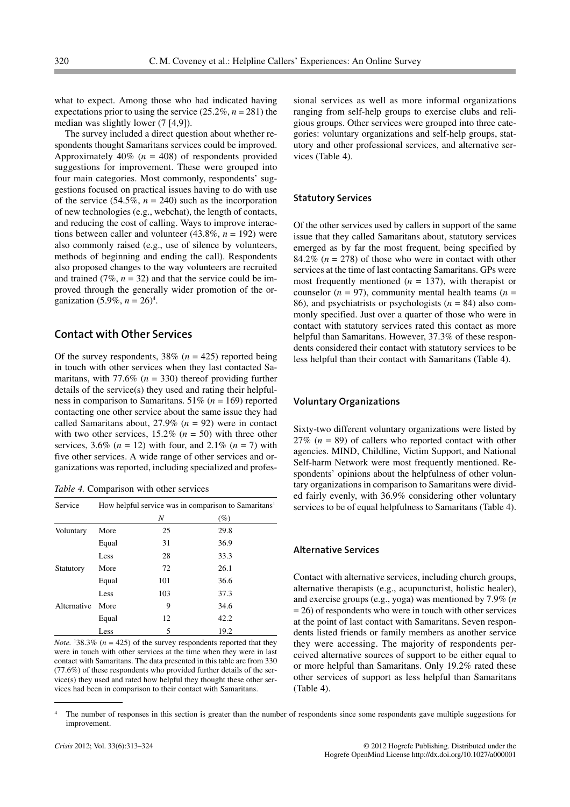what to expect. Among those who had indicated having expectations prior to using the service  $(25.2\%, n = 281)$  the median was slightly lower (7 [4,9]).

The survey included a direct question about whether respondents thought Samaritans services could be improved. Approximately 40% (*n* = 408) of respondents provided suggestions for improvement. These were grouped into four main categories. Most commonly, respondents' suggestions focused on practical issues having to do with use of the service  $(54.5\%, n = 240)$  such as the incorporation of new technologies (e.g., webchat), the length of contacts, and reducing the cost of calling. Ways to improve interactions between caller and volunteer (43.8%, *n* = 192) were also commonly raised (e.g., use of silence by volunteers, methods of beginning and ending the call). Respondents also proposed changes to the way volunteers are recruited and trained  $(7\%, n = 32)$  and that the service could be improved through the generally wider promotion of the organization  $(5.9\%, n = 26)^4$ .

#### **Contact with Other Services**

Of the survey respondents,  $38\%$  ( $n = 425$ ) reported being in touch with other services when they last contacted Samaritans, with  $77.6\%$  ( $n = 330$ ) thereof providing further details of the service(s) they used and rating their helpfulness in comparison to Samaritans. 51% (*n* = 169) reported contacting one other service about the same issue they had called Samaritans about,  $27.9\%$  ( $n = 92$ ) were in contact with two other services,  $15.2\%$  ( $n = 50$ ) with three other services,  $3.6\%$  ( $n = 12$ ) with four, and  $2.1\%$  ( $n = 7$ ) with five other services. A wide range of other services and organizations was reported, including specialized and profes-

*Table 4.* Comparison with other services

| Service     | How helpful service was in comparison to Samaritans <sup>1</sup> |     |        |  |
|-------------|------------------------------------------------------------------|-----|--------|--|
|             |                                                                  | Ν   | $(\%)$ |  |
| Voluntary   | More                                                             | 25  | 29.8   |  |
|             | Equal                                                            | 31  | 36.9   |  |
|             | Less                                                             | 28  | 33.3   |  |
| Statutory   | More                                                             | 72  | 26.1   |  |
|             | Equal                                                            | 101 | 36.6   |  |
|             | Less                                                             | 103 | 37.3   |  |
| Alternative | More                                                             | 9   | 34.6   |  |
|             | Equal                                                            | 12  | 42.2   |  |
|             | Less                                                             | 5   | 19.2   |  |

*Note.* <sup>1</sup>38.3% ( $n = 425$ ) of the survey respondents reported that they were in touch with other services at the time when they were in last contact with Samaritans. The data presented in this table are from 330 (77.6%) of these respondents who provided further details of the service(s) they used and rated how helpful they thought these other services had been in comparison to their contact with Samaritans.

sional services as well as more informal organizations ranging from self-help groups to exercise clubs and religious groups. Other services were grouped into three categories: voluntary organizations and self-help groups, statutory and other professional services, and alternative services (Table 4).

#### **Statutory Services**

Of the other services used by callers in support of the same issue that they called Samaritans about, statutory services emerged as by far the most frequent, being specified by 84.2% ( $n = 278$ ) of those who were in contact with other services at the time of last contacting Samaritans. GPs were most frequently mentioned (*n* = 137), with therapist or counselor  $(n = 97)$ , community mental health teams  $(n = 17)$ 86), and psychiatrists or psychologists (*n* = 84) also commonly specified. Just over a quarter of those who were in contact with statutory services rated this contact as more helpful than Samaritans. However, 37.3% of these respondents considered their contact with statutory services to be less helpful than their contact with Samaritans (Table 4).

#### **Voluntary Organizations**

Sixty-two different voluntary organizations were listed by 27% (*n* = 89) of callers who reported contact with other agencies. MIND, Childline, Victim Support, and National Self-harm Network were most frequently mentioned. Respondents' opinions about the helpfulness of other voluntary organizations in comparison to Samaritans were divided fairly evenly, with 36.9% considering other voluntary services to be of equal helpfulness to Samaritans (Table 4).

#### **Alternative Services**

Contact with alternative services, including church groups, alternative therapists (e.g., acupuncturist, holistic healer), and exercise groups (e.g., yoga) was mentioned by 7.9% (*n*  $= 26$ ) of respondents who were in touch with other services at the point of last contact with Samaritans. Seven respondents listed friends or family members as another service they were accessing. The majority of respondents perceived alternative sources of support to be either equal to or more helpful than Samaritans. Only 19.2% rated these other services of support as less helpful than Samaritans (Table 4).

- The number of responses in this section is greater than the number of respondents since some respondents gave multiple suggestions for improvement.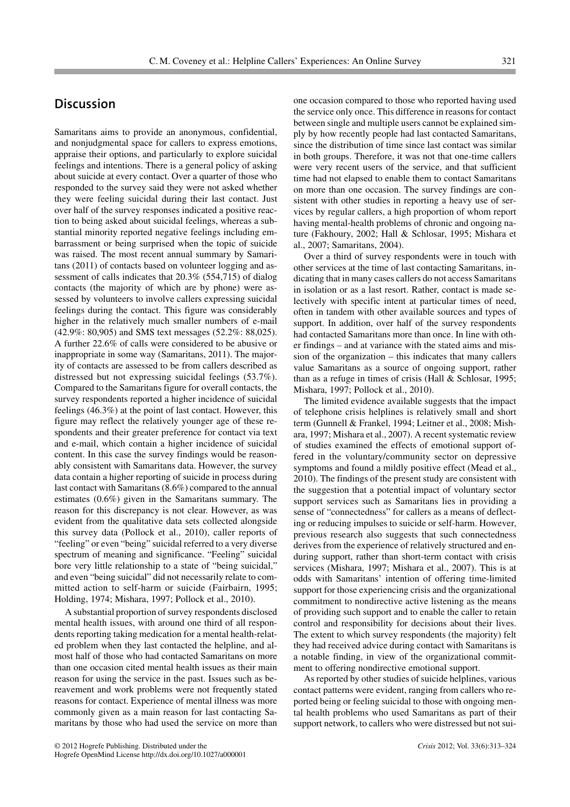# **Discussion**

Samaritans aims to provide an anonymous, confidential, and nonjudgmental space for callers to express emotions, appraise their options, and particularly to explore suicidal feelings and intentions. There is a general policy of asking about suicide at every contact. Over a quarter of those who responded to the survey said they were not asked whether they were feeling suicidal during their last contact. Just over half of the survey responses indicated a positive reaction to being asked about suicidal feelings, whereas a substantial minority reported negative feelings including embarrassment or being surprised when the topic of suicide was raised. The most recent annual summary by Samaritans (2011) of contacts based on volunteer logging and assessment of calls indicates that 20.3% (554,715) of dialog contacts (the majority of which are by phone) were assessed by volunteers to involve callers expressing suicidal feelings during the contact. This figure was considerably higher in the relatively much smaller numbers of e-mail (42.9%: 80,905) and SMS text messages (52.2%: 88,025). A further 22.6% of calls were considered to be abusive or inappropriate in some way (Samaritans, 2011). The majority of contacts are assessed to be from callers described as distressed but not expressing suicidal feelings (53.7%). Compared to the Samaritans figure for overall contacts, the survey respondents reported a higher incidence of suicidal feelings (46.3%) at the point of last contact. However, this figure may reflect the relatively younger age of these respondents and their greater preference for contact via text and e-mail, which contain a higher incidence of suicidal content. In this case the survey findings would be reasonably consistent with Samaritans data. However, the survey data contain a higher reporting of suicide in process during last contact with Samaritans (8.6%) compared to the annual estimates (0.6%) given in the Samaritans summary. The reason for this discrepancy is not clear. However, as was evident from the qualitative data sets collected alongside this survey data (Pollock et al., 2010), caller reports of "feeling" or even "being" suicidal referred to a very diverse spectrum of meaning and significance. "Feeling" suicidal bore very little relationship to a state of "being suicidal," and even "being suicidal" did not necessarily relate to committed action to self-harm or suicide (Fairbairn, 1995; Holding, 1974; Mishara, 1997; Pollock et al., 2010).

A substantial proportion of survey respondents disclosed mental health issues, with around one third of all respondents reporting taking medication for a mental health-related problem when they last contacted the helpline, and almost half of those who had contacted Samaritans on more than one occasion cited mental health issues as their main reason for using the service in the past. Issues such as bereavement and work problems were not frequently stated reasons for contact. Experience of mental illness was more commonly given as a main reason for last contacting Samaritans by those who had used the service on more than one occasion compared to those who reported having used the service only once. This difference in reasons for contact between single and multiple users cannot be explained simply by how recently people had last contacted Samaritans, since the distribution of time since last contact was similar in both groups. Therefore, it was not that one-time callers were very recent users of the service, and that sufficient time had not elapsed to enable them to contact Samaritans on more than one occasion. The survey findings are consistent with other studies in reporting a heavy use of services by regular callers, a high proportion of whom report having mental-health problems of chronic and ongoing nature (Fakhoury, 2002; Hall & Schlosar, 1995; Mishara et al., 2007; Samaritans, 2004).

Over a third of survey respondents were in touch with other services at the time of last contacting Samaritans, indicating that in many cases callers do not access Samaritans in isolation or as a last resort. Rather, contact is made selectively with specific intent at particular times of need, often in tandem with other available sources and types of support. In addition, over half of the survey respondents had contacted Samaritans more than once. In line with other findings – and at variance with the stated aims and mission of the organization – this indicates that many callers value Samaritans as a source of ongoing support, rather than as a refuge in times of crisis (Hall & Schlosar, 1995; Mishara, 1997; Pollock et al., 2010).

The limited evidence available suggests that the impact of telephone crisis helplines is relatively small and short term (Gunnell & Frankel, 1994; Leitner et al., 2008; Mishara, 1997; Mishara et al., 2007). A recent systematic review of studies examined the effects of emotional support offered in the voluntary/community sector on depressive symptoms and found a mildly positive effect (Mead et al., 2010). The findings of the present study are consistent with the suggestion that a potential impact of voluntary sector support services such as Samaritans lies in providing a sense of "connectedness" for callers as a means of deflecting or reducing impulses to suicide or self-harm. However, previous research also suggests that such connectedness derives from the experience of relatively structured and enduring support, rather than short-term contact with crisis services (Mishara, 1997; Mishara et al., 2007). This is at odds with Samaritans' intention of offering time-limited support for those experiencing crisis and the organizational commitment to nondirective active listening as the means of providing such support and to enable the caller to retain control and responsibility for decisions about their lives. The extent to which survey respondents (the majority) felt they had received advice during contact with Samaritans is a notable finding, in view of the organizational commitment to offering nondirective emotional support.

As reported by other studies of suicide helplines, various contact patterns were evident, ranging from callers who reported being or feeling suicidal to those with ongoing mental health problems who used Samaritans as part of their support network, to callers who were distressed but not sui-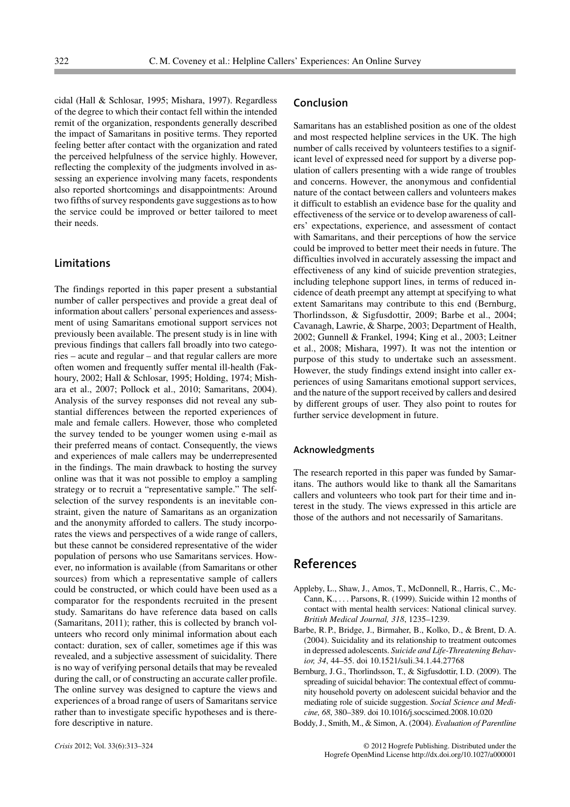cidal (Hall & Schlosar, 1995; Mishara, 1997). Regardless of the degree to which their contact fell within the intended remit of the organization, respondents generally described the impact of Samaritans in positive terms. They reported feeling better after contact with the organization and rated the perceived helpfulness of the service highly. However, reflecting the complexity of the judgments involved in assessing an experience involving many facets, respondents also reported shortcomings and disappointments: Around two fifths of survey respondents gave suggestions as to how the service could be improved or better tailored to meet their needs.

#### **Limitations**

The findings reported in this paper present a substantial number of caller perspectives and provide a great deal of information about callers' personal experiences and assessment of using Samaritans emotional support services not previously been available. The present study is in line with previous findings that callers fall broadly into two categories – acute and regular – and that regular callers are more often women and frequently suffer mental ill-health (Fakhoury, 2002; Hall & Schlosar, 1995; Holding, 1974; Mishara et al., 2007; Pollock et al., 2010; Samaritans, 2004). Analysis of the survey responses did not reveal any substantial differences between the reported experiences of male and female callers. However, those who completed the survey tended to be younger women using e-mail as their preferred means of contact. Consequently, the views and experiences of male callers may be underrepresented in the findings. The main drawback to hosting the survey online was that it was not possible to employ a sampling strategy or to recruit a "representative sample." The selfselection of the survey respondents is an inevitable constraint, given the nature of Samaritans as an organization and the anonymity afforded to callers. The study incorporates the views and perspectives of a wide range of callers, but these cannot be considered representative of the wider population of persons who use Samaritans services. However, no information is available (from Samaritans or other sources) from which a representative sample of callers could be constructed, or which could have been used as a comparator for the respondents recruited in the present study. Samaritans do have reference data based on calls (Samaritans, 2011); rather, this is collected by branch volunteers who record only minimal information about each contact: duration, sex of caller, sometimes age if this was revealed, and a subjective assessment of suicidality. There is no way of verifying personal details that may be revealed during the call, or of constructing an accurate caller profile. The online survey was designed to capture the views and experiences of a broad range of users of Samaritans service rather than to investigate specific hypotheses and is therefore descriptive in nature.

Samaritans has an established position as one of the oldest and most respected helpline services in the UK. The high number of calls received by volunteers testifies to a significant level of expressed need for support by a diverse population of callers presenting with a wide range of troubles and concerns. However, the anonymous and confidential nature of the contact between callers and volunteers makes it difficult to establish an evidence base for the quality and effectiveness of the service or to develop awareness of callers' expectations, experience, and assessment of contact with Samaritans, and their perceptions of how the service could be improved to better meet their needs in future. The difficulties involved in accurately assessing the impact and effectiveness of any kind of suicide prevention strategies, including telephone support lines, in terms of reduced incidence of death preempt any attempt at specifying to what extent Samaritans may contribute to this end (Bernburg, Thorlindsson, & Sigfusdottir, 2009; Barbe et al., 2004; Cavanagh, Lawrie, & Sharpe, 2003; Department of Health, 2002; Gunnell & Frankel, 1994; King et al., 2003; Leitner et al., 2008; Mishara, 1997). It was not the intention or purpose of this study to undertake such an assessment. However, the study findings extend insight into caller experiences of using Samaritans emotional support services, and the nature of the support received by callers and desired by different groups of user. They also point to routes for further service development in future.

#### **Acknowledgments**

The research reported in this paper was funded by Samaritans. The authors would like to thank all the Samaritans callers and volunteers who took part for their time and interest in the study. The views expressed in this article are those of the authors and not necessarily of Samaritans.

# **References**

- Appleby, L., Shaw, J., Amos, T., McDonnell, R., Harris, C., Mc-Cann, K., . . . Parsons, R. (1999). Suicide within 12 months of contact with mental health services: National clinical survey. *British Medical Journal, 318*, 1235–1239.
- Barbe, R. P., Bridge, J., Birmaher, B., Kolko, D., & Brent, D. A. (2004). Suicidality and its relationship to treatment outcomes in depressed adolescents. *Suicide and Life-Threatening Behavior, 34*, 44–55. doi 10.1521/suli.34.1.44.27768
- Bernburg, J. G., Thorlindsson, T., & Sigfusdottir, I. D. (2009). The spreading of suicidal behavior: The contextual effect of community household poverty on adolescent suicidal behavior and the mediating role of suicide suggestion. *Social Science and Medicine, 68*, 380–389. doi 10.1016/j.socscimed.2008.10.020
- Boddy, J., Smith, M., & Simon, A. (2004). *Evaluation of Parentline*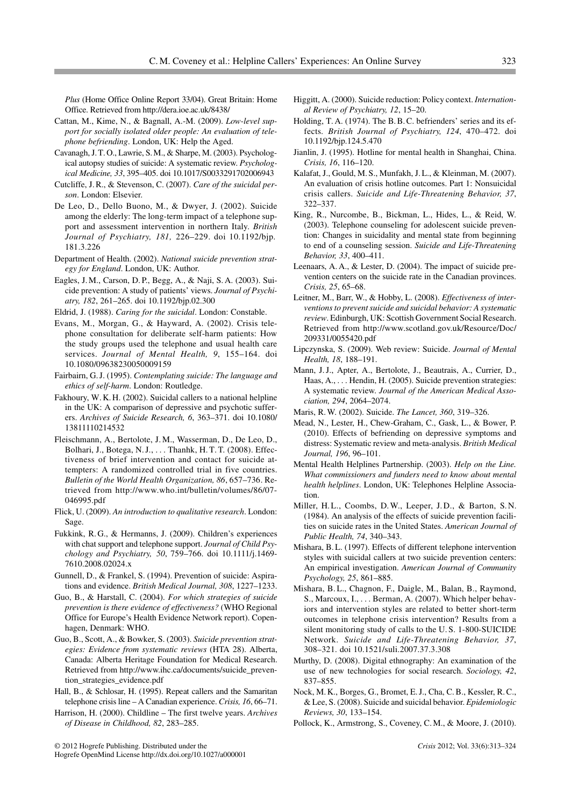*Plus* (Home Office Online Report 33/04). Great Britain: Home Office. Retrieved from http://dera.ioe.ac.uk/8438/

- Cattan, M., Kime, N., & Bagnall, A.-M. (2009). *Low-level support for socially isolated older people: An evaluation of telephone befriending*. London, UK: Help the Aged.
- Cavanagh, J. T. O., Lawrie, S. M., & Sharpe, M. (2003). Psychological autopsy studies of suicide: A systematic review. *Psychological Medicine, 33*, 395–405. doi 10.1017/S0033291702006943
- Cutcliffe, J. R., & Stevenson, C. (2007). *Care of the suicidal person*. London: Elsevier.
- De Leo, D., Dello Buono, M., & Dwyer, J. (2002). Suicide among the elderly: The long-term impact of a telephone support and assessment intervention in northern Italy. *British Journal of Psychiatry, 181,* 226–229. doi 10.1192/bjp. 181.3.226
- Department of Health. (2002). *National suicide prevention strategy for England*. London, UK: Author.
- Eagles, J. M., Carson, D. P., Begg, A., & Naji, S. A. (2003). Suicide prevention: A study of patients' views. *Journal of Psychiatry, 182*, 261–265. doi 10.1192/bjp.02.300
- Eldrid, J. (1988). *Caring for the suicidal*. London: Constable.
- Evans, M., Morgan, G., & Hayward, A. (2002). Crisis telephone consultation for deliberate self-harm patients: How the study groups used the telephone and usual health care services. *Journal of Mental Health, 9*, 155–164. doi 10.1080/09638230050009159
- Fairbairn, G. J. (1995). *Contemplating suicide: The language and ethics of self-harm*. London: Routledge.
- Fakhoury, W. K. H. (2002). Suicidal callers to a national helpline in the UK: A comparison of depressive and psychotic sufferers. *Archives of Suicide Research, 6*, 363–371. doi 10.1080/ 13811110214532
- Fleischmann, A., Bertolote, J. M., Wasserman, D., De Leo, D., Bolhari, J., Botega, N. J., . . . Thanhk, H. T. T. (2008). Effectiveness of brief intervention and contact for suicide attempters: A randomized controlled trial in five countries. *Bulletin of the World Health Organization, 86*, 657–736. Retrieved from http://www.who.int/bulletin/volumes/86/07- 046995.pdf
- Flick, U. (2009). *An introduction to qualitative research*. London: Sage.
- Fukkink, R. G., & Hermanns, J. (2009). Children's experiences with chat support and telephone support. *Journal of Child Psychology and Psychiatry, 50*, 759–766. doi 10.1111/j.1469- 7610.2008.02024.x
- Gunnell, D., & Frankel, S. (1994). Prevention of suicide: Aspirations and evidence. *British Medical Journal, 308*, 1227–1233.
- Guo, B., & Harstall, C. (2004). *For which strategies of suicide prevention is there evidence of effectiveness?* (WHO Regional Office for Europe's Health Evidence Network report). Copenhagen, Denmark: WHO.
- Guo, B., Scott, A., & Bowker, S. (2003). *Suicide prevention strategies: Evidence from systematic reviews* (HTA 28). Alberta, Canada: Alberta Heritage Foundation for Medical Research. Retrieved from http://www.ihc.ca/documents/suicide\_prevention\_strategies\_evidence.pdf
- Hall, B., & Schlosar, H. (1995). Repeat callers and the Samaritan telephone crisis line – A Canadian experience.*Crisis, 16*, 66–71.
- Harrison, H. (2000). Childline The first twelve years. *Archives of Disease in Childhood, 82*, 283–285.
- Higgitt, A. (2000). Suicide reduction: Policy context. *International Review of Psychiatry, 12*, 15–20.
- Holding, T. A. (1974). The B. B. C. befrienders' series and its effects. *British Journal of Psychiatry, 124*, 470–472. doi 10.1192/bjp.124.5.470
- Jianlin, J. (1995). Hotline for mental health in Shanghai, China. *Crisis, 16*, 116–120.
- Kalafat, J., Gould, M. S., Munfakh, J. L., & Kleinman, M. (2007). An evaluation of crisis hotline outcomes. Part 1: Nonsuicidal crisis callers. *Suicide and Life-Threatening Behavior, 37*, 322–337.
- King, R., Nurcombe, B., Bickman, L., Hides, L., & Reid, W. (2003). Telephone counseling for adolescent suicide prevention: Changes in suicidality and mental state from beginning to end of a counseling session. *Suicide and Life-Threatening Behavior, 33*, 400–411.
- Leenaars, A. A., & Lester, D. (2004). The impact of suicide prevention centers on the suicide rate in the Canadian provinces. *Crisis, 25*, 65–68.
- Leitner, M., Barr, W., & Hobby, L. (2008). *Effectiveness of interventions to prevent suicide and suicidal behavior: A systematic review*. Edinburgh, UK: Scottish Government Social Research. Retrieved from http://www.scotland.gov.uk/Resource/Doc/ 209331/0055420.pdf
- Lipczynska, S. (2009). Web review: Suicide. *Journal of Mental Health, 18*, 188–191.
- Mann, J. J., Apter, A., Bertolote, J., Beautrais, A., Currier, D., Haas, A., ... Hendin, H. (2005). Suicide prevention strategies: A systematic review. *Journal of the American Medical Association, 294*, 2064–2074.
- Maris, R. W. (2002). Suicide. *The Lancet, 360*, 319–326.
- Mead, N., Lester, H., Chew-Graham, C., Gask, L., & Bower, P. (2010). Effects of befriending on depressive symptoms and distress: Systematic review and meta-analysis. *British Medical Journal, 196*, 96–101.
- Mental Health Helplines Partnership. (2003). *Help on the Line. What commissioners and funders need to know about mental health helplines*. London, UK: Telephones Helpline Association.
- Miller, H. L., Coombs, D. W., Leeper, J. D., & Barton, S. N. (1984). An analysis of the effects of suicide prevention facilities on suicide rates in the United States. *American Journal of Public Health, 74*, 340–343.
- Mishara, B. L. (1997). Effects of different telephone intervention styles with suicidal callers at two suicide prevention centers: An empirical investigation. *American Journal of Community Psychology, 25*, 861–885.
- Mishara, B. L., Chagnon, F., Daigle, M., Balan, B., Raymond, S., Marcoux, I., . . . Berman, A. (2007). Which helper behaviors and intervention styles are related to better short-term outcomes in telephone crisis intervention? Results from a silent monitoring study of calls to the U. S. 1-800-SUICIDE Network. *Suicide and Life-Threatening Behavior, 37*, 308–321. doi 10.1521/suli.2007.37.3.308
- Murthy, D. (2008). Digital ethnography: An examination of the use of new technologies for social research. *Sociology, 42*, 837–855.
- Nock, M. K., Borges, G., Bromet, E. J., Cha, C. B., Kessler, R. C., & Lee, S. (2008). Suicide and suicidal behavior. *Epidemiologic Reviews, 30*, 133–154.
- Pollock, K., Armstrong, S., Coveney, C. M., & Moore, J. (2010).